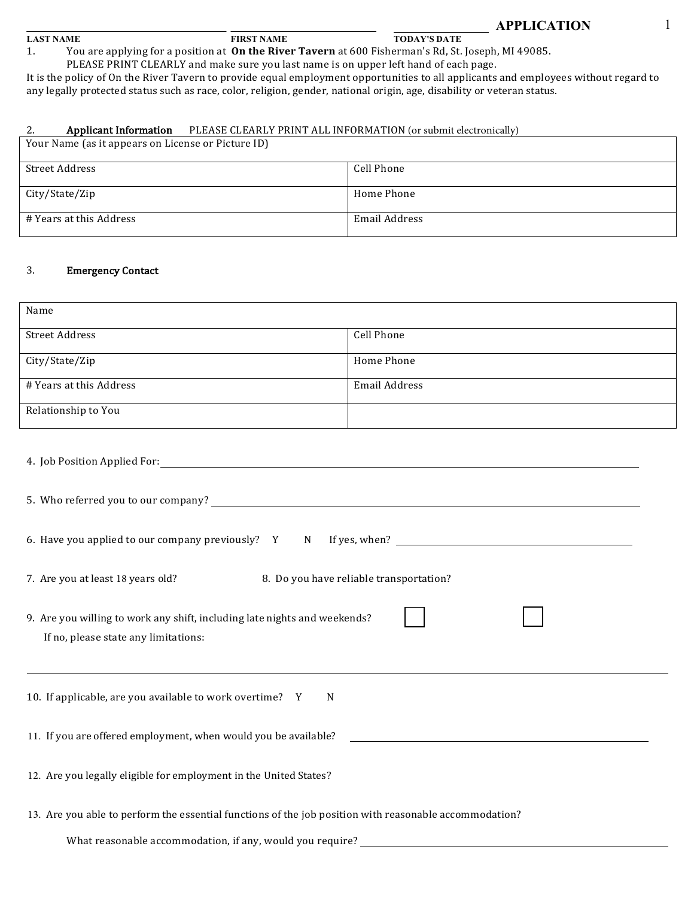#### **LAST NAME FIRST NAME TODAY'S DATE**

1. You are applying for a position at **On the River Tavern** at 600 Fisherman's Rd, St. Joseph, MI 49085.

PLEASE PRINT CLEARLY and make sure you last name is on upper left hand of each page.

It is the policy of On the River Tavern to provide equal employment opportunities to all applicants and employees without regard to any legally protected status such as race, color, religion, gender, national origin, age, disability or veteran status.

### 2. **Applicant Information** PLEASE CLEARLY PRINT ALL INFORMATION (or submit electronically)

| Your Name (as it appears on License or Picture ID) |               |  |
|----------------------------------------------------|---------------|--|
| Street Address                                     | Cell Phone    |  |
|                                                    |               |  |
| City/State/Zip                                     | Home Phone    |  |
| # Years at this Address                            | Email Address |  |
|                                                    |               |  |

# 3. Emergency Contact

| Name                                                                                                              |            |  |
|-------------------------------------------------------------------------------------------------------------------|------------|--|
| <b>Street Address</b>                                                                                             | Cell Phone |  |
| City/State/Zip                                                                                                    | Home Phone |  |
| # Years at this Address<br>Email Address                                                                          |            |  |
| Relationship to You                                                                                               |            |  |
|                                                                                                                   |            |  |
|                                                                                                                   |            |  |
| 8. Do you have reliable transportation?<br>7. Are you at least 18 years old?                                      |            |  |
| 9. Are you willing to work any shift, including late nights and weekends?<br>If no, please state any limitations: |            |  |
| 10. If applicable, are you available to work overtime? Y<br>N                                                     |            |  |
| 11. If you are offered employment, when would you be available?                                                   |            |  |
| 12. Are you legally eligible for employment in the United States?                                                 |            |  |
| 13. Are you able to perform the essential functions of the job position with reasonable accommodation?            |            |  |
| What reasonable accommodation, if any, would you require? _______________________                                 |            |  |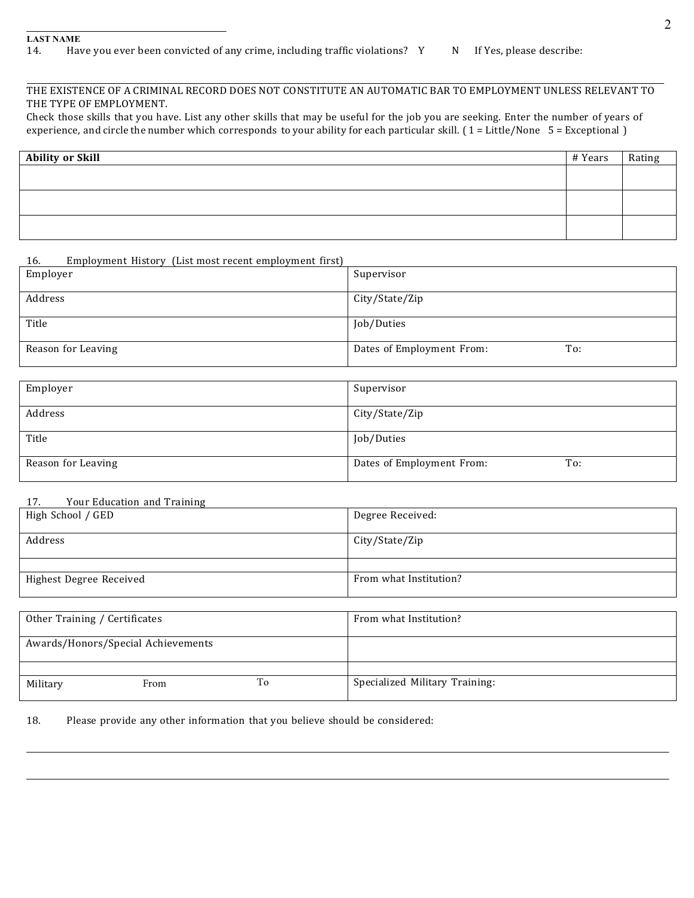# THE EXISTENCE OF A CRIMINAL RECORD DOES NOT CONSTITUTE AN AUTOMATIC BAR TO EMPLOYMENT UNLESS RELEVANT TO THE TYPE OF EMPLOYMENT.

Check those skills that you have. List any other skills that may be useful for the job you are seeking. Enter the number of years of experience, and circle the number which corresponds to your ability for each particular skill. ( $1 =$ Little/None  $5 =$ Exceptional )

| <b>Ability or Skill</b> | # Years | Rating |
|-------------------------|---------|--------|
|                         |         |        |
|                         |         |        |
|                         |         |        |
|                         |         |        |
|                         |         |        |
|                         |         |        |

## 16. Employment History (List most recent employment first)

| Employer           | Supervisor                       |
|--------------------|----------------------------------|
| Address            | City/State/Zip                   |
| Title              | Job/Duties                       |
| Reason for Leaving | Dates of Employment From:<br>To: |

| Employer           | Supervisor                       |
|--------------------|----------------------------------|
| Address            | City/State/Zip                   |
| Title              | Job/Duties                       |
| Reason for Leaving | Dates of Employment From:<br>To: |

### 17. Your Education and Training

| High School / GED       | Degree Received:       |
|-------------------------|------------------------|
| Address                 | City/State/Zip         |
|                         |                        |
| Highest Degree Received | From what Institution? |

| Other Training / Certificates      |      |    | From what Institution?         |
|------------------------------------|------|----|--------------------------------|
| Awards/Honors/Special Achievements |      |    |                                |
|                                    |      |    |                                |
| Military                           | From | To | Specialized Military Training: |

#### 18. Please provide any other information that you believe should be considered: